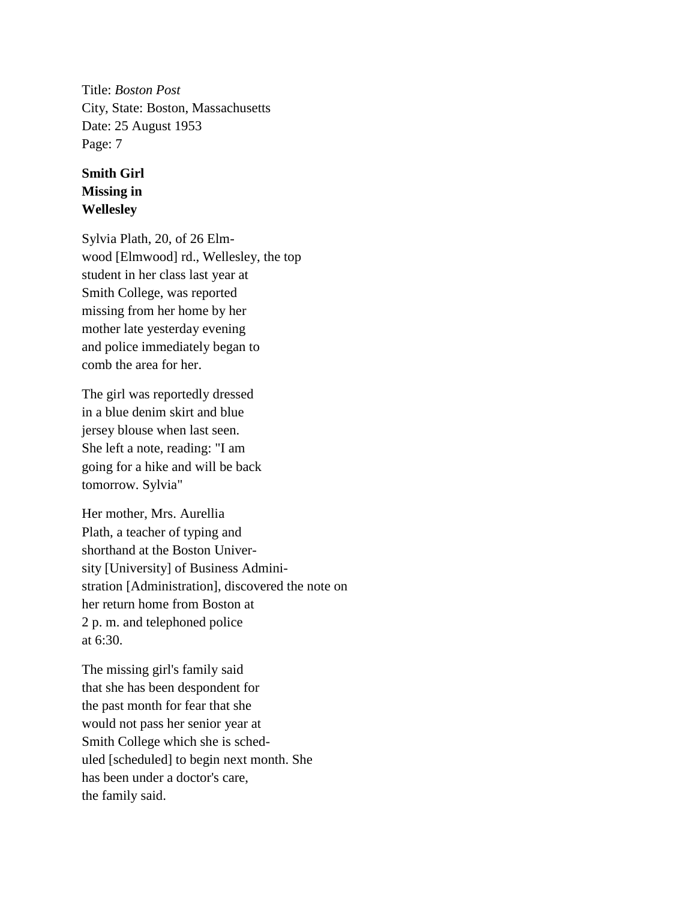Title: *Boston Post* City, State: Boston, Massachusetts Date: 25 August 1953 Page: 7

## **Smith Girl Missing in Wellesley**

Sylvia Plath, 20, of 26 Elmwood [Elmwood] rd., Wellesley, the top student in her class last year at Smith College, was reported missing from her home by her mother late yesterday evening and police immediately began to comb the area for her.

The girl was reportedly dressed in a blue denim skirt and blue jersey blouse when last seen. She left a note, reading: "I am going for a hike and will be back tomorrow. Sylvia"

Her mother, Mrs. Aurellia Plath, a teacher of typing and shorthand at the Boston University [University] of Business Administration [Administration], discovered the note on her return home from Boston at 2 p. m. and telephoned police at 6:30.

The missing girl's family said that she has been despondent for the past month for fear that she would not pass her senior year at Smith College which she is scheduled [scheduled] to begin next month. She has been under a doctor's care, the family said.